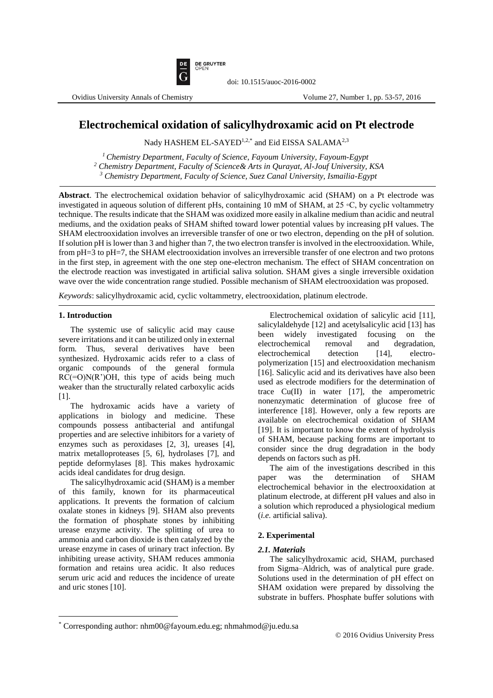**DE GRUYTER**<br>OPEN

Ovidius University Annals of Chemistry Volume 27, Number 1, pp. 53-57, 2016

# **Electrochemical oxidation of salicylhydroxamic acid on Pt electrode**

doi: 10.1515/auoc-2016-0002

Nady HASHEM EL-SAYED<sup>1,2,\*</sup> and Eid EISSA SALAMA<sup>2,3</sup>

*<sup>1</sup>Chemistry Department, Faculty of Science, Fayoum University, Fayoum-Egypt <sup>2</sup> Chemistry Department, Faculty of Science& Arts in Qurayat, Al-Jouf University, KSA <sup>3</sup> Chemistry Department, Faculty of Science, Suez Canal University, Ismailia-Egypt*

**Abstract**. The electrochemical oxidation behavior of salicylhydroxamic acid (SHAM) on a Pt electrode was investigated in aqueous solution of different pHs, containing 10 mM of SHAM, at 25 ◦C, by cyclic voltammetry technique. The results indicate that the SHAM was oxidized more easily in alkaline medium than acidic and neutral mediums, and the oxidation peaks of SHAM shifted toward lower potential values by increasing pH values. The SHAM electrooxidation involves an irreversible transfer of one or two electron, depending on the pH of solution. If solution pH is lower than 3 and higher than 7, the two electron transfer is involved in the electrooxidation. While, from pH=3 to pH=7, the SHAM electrooxidation involves an irreversible transfer of one electron and two protons in the first step, in agreement with the one step one-electron mechanism. The effect of SHAM concentration on the electrode reaction was investigated in artificial saliva solution. SHAM gives a single irreversible oxidation wave over the wide concentration range studied. Possible mechanism of SHAM electrooxidation was proposed.

*Keywords*: salicylhydroxamic acid, cyclic voltammetry, electrooxidation, platinum electrode.

## **1. Introduction**

 $\overline{a}$ 

The systemic use of salicylic acid may cause severe irritations and it can be utilized only in external form. Thus, several derivatives have been synthesized. Hydroxamic acids refer to a class of organic compounds of the general formula RC(=O)N(R')OH, this type of acids being much weaker than the structurally related carboxylic acids [1].

The hydroxamic acids have a variety of applications in biology and medicine. These compounds possess antibacterial and antifungal properties and are selective inhibitors for a variety of enzymes such as peroxidases [2, 3], ureases [4], matrix metalloproteases [5, 6], hydrolases [7], and peptide deformylases [8]. This makes hydroxamic acids ideal candidates for drug design.

The salicylhydroxamic acid (SHAM) is a member of this family, known for its pharmaceutical applications. It prevents the formation of calcium oxalate stones in kidneys [9]. SHAM also prevents the formation of phosphate stones by inhibiting urease enzyme activity. The splitting of urea to ammonia and carbon dioxide is then catalyzed by the urease enzyme in cases of urinary tract infection. By inhibiting urease activity, SHAM reduces ammonia formation and retains urea acidic. It also reduces serum uric acid and reduces the incidence of ureate and uric stones [10].

Electrochemical oxidation of salicylic acid [11], salicylaldehyde [12] and acetylsalicylic acid [13] has been widely investigated focusing on the electrochemical removal and degradation, electrochemical detection [14], electropolymerization [15] and electrooxidation mechanism [16]. Salicylic acid and its derivatives have also been used as electrode modifiers for the determination of trace Cu(II) in water [17], the amperometric nonenzymatic determination of glucose free of interference [18]. However, only a few reports are available on electrochemical oxidation of SHAM [19]. It is important to know the extent of hydrolysis of SHAM, because packing forms are important to consider since the drug degradation in the body depends on factors such as pH.

The aim of the investigations described in this paper was the determination of SHAM electrochemical behavior in the electrooxidation at platinum electrode, at different pH values and also in a solution which reproduced a physiological medium (*i.e.* artificial saliva).

# **2. Experimental**

# *2.1. Materials*

The salicylhydroxamic acid, SHAM, purchased from Sigma–Aldrich, was of analytical pure grade. Solutions used in the determination of pH effect on SHAM oxidation were prepared by dissolving the substrate in buffers. Phosphate buffer solutions with

<sup>\*</sup> Corresponding author: nhm00@fayoum.edu.eg; nhmahmod@ju.edu.sa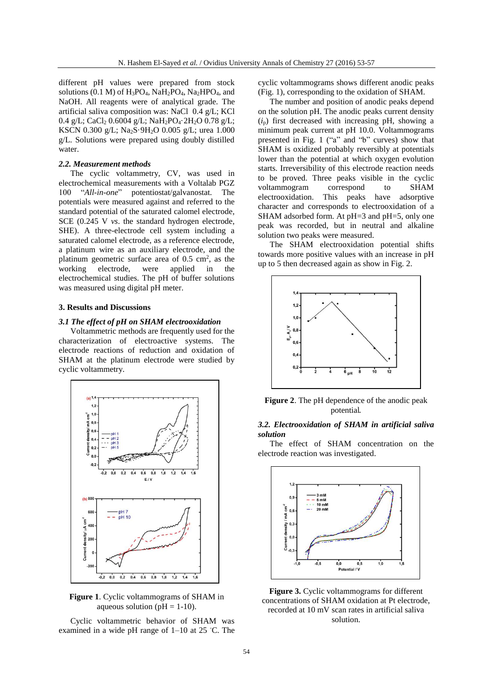different pH values were prepared from stock solutions (0.1 M) of  $H_3PO_4$ ,  $NaH_2PO_4$ ,  $Na_2HPO_4$ , and NaOH. All reagents were of analytical grade. The artificial saliva composition was: NaCl 0.4 g/L; KCl 0.4 g/L; CaCl<sub>2</sub> 0.6004 g/L; NaH<sub>2</sub>PO<sub>4</sub>·2H<sub>2</sub>O 0.78 g/L; KSCN 0.300 g/L; Na<sub>2</sub>S·9H<sub>2</sub>O 0.005 g/L; urea 1.000 g/L. Solutions were prepared using doubly distilled water.

#### *2.2. Measurement methods*

The cyclic voltammetry, CV, was used in electrochemical measurements with a Voltalab PGZ 100 "*All-in-one*" potentiostat/galvanostat. The potentials were measured against and referred to the standard potential of the saturated calomel electrode, SCE (0.245 V *vs*. the standard hydrogen electrode, SHE). A three-electrode cell system including a saturated calomel electrode, as a reference electrode, a platinum wire as an auxiliary electrode, and the platinum geometric surface area of  $0.5 \text{ cm}^2$ , as the working electrode, were applied in the electrochemical studies. The pH of buffer solutions was measured using digital pH meter.

## **3. Results and Discussions**

## *3.1 The effect of pH on SHAM electrooxidation*

Voltammetric methods are frequently used for the characterization of electroactive systems. The electrode reactions of reduction and oxidation of SHAM at the platinum electrode were studied by cyclic voltammetry.



**Figure 1**. Cyclic voltammograms of SHAM in aqueous solution ( $pH = 1-10$ ).

Cyclic voltammetric behavior of SHAM was examined in a wide pH range of 1–10 at 25 ◦C. The cyclic voltammograms shows different anodic peaks (Fig. 1), corresponding to the oxidation of SHAM.

The number and position of anodic peaks depend on the solution pH. The anodic peaks current density  $(i<sub>p</sub>)$  first decreased with increasing pH, showing a minimum peak current at pH 10.0. Voltammograms presented in Fig. 1 ("a" and "b" curves) show that SHAM is oxidized probably reversibly at potentials lower than the potential at which oxygen evolution starts. Irreversibility of this electrode reaction needs to be proved. Three peaks visible in the cyclic voltammogram correspond to SHAM voltammogram correspond to SHAM electrooxidation. This peaks have adsorptive character and corresponds to electrooxidation of a SHAM adsorbed form. At pH=3 and pH=5, only one peak was recorded, but in neutral and alkaline solution two peaks were measured.

The SHAM electrooxidation potential shifts towards more positive values with an increase in pH up to 5 then decreased again as show in Fig. 2.



**Figure 2**. The pH dependence of the anodic peak potential.

## *3.2. Electrooxidation of SHAM in artificial saliva solution*

The effect of SHAM concentration on the electrode reaction was investigated.



**Figure 3.** Cyclic voltammograms for different concentrations of SHAM oxidation at Pt electrode, recorded at 10 mV scan rates in artificial saliva solution.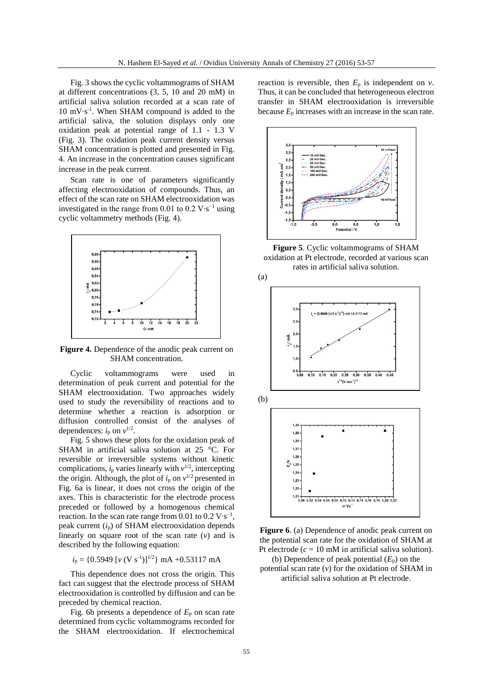Fig. 3 shows the cyclic voltammograms of SHAM at different concentrations (3, 5, 10 and 20 mM) in artificial saliva solution recorded at a scan rate of 10 mV∙s -1 . When SHAM compound is added to the artificial saliva, the solution displays only one oxidation peak at potential range of 1.1 - 1.3 V (Fig. 3). The oxidation peak current density versus SHAM concentration is plotted and presented in Fig. 4. An increase in the concentration causes significant increase in the peak current.

Scan rate is one of parameters significantly affecting electrooxidation of compounds. Thus, an effect of the scan rate on SHAM electrooxidation was investigated in the range from 0.01 to  $0.2 \text{ V} \cdot \text{s}^{-1}$  using cyclic voltammetry methods (Fig. 4).



**Figure 4.** Dependence of the anodic peak current on SHAM concentration.

Cyclic voltammograms were used in determination of peak current and potential for the SHAM electrooxidation. Two approaches widely used to study the reversibility of reactions and to determine whether a reaction is adsorption or diffusion controlled consist of the analyses of dependences:  $i_p$  on  $v^{1/2}$ .

Fig. 5 shows these plots for the oxidation peak of SHAM in artificial saliva solution at 25 °C. For reversible or irreversible systems without kinetic complications,  $i_p$  varies linearly with  $v^{1/2}$ , intercepting the origin. Although, the plot of  $i_p$  on  $v^{1/2}$  presented in Fig. 6a is linear, it does not cross the origin of the axes. This is characteristic for the electrode process preceded or followed by a homogenous chemical reaction. In the scan rate range from  $0.01$  to  $0.2 \text{ V} \cdot \text{s}^{-1}$ , peak current (*i*p) of SHAM electrooxidation depends linearly on square root of the scan rate (*v*) and is described by the following equation:

 $i_p = \{0.5949 \ [v \ (V \ s^{-1})]^{1/2}\} \ mA + 0.53117 \ mA$ 

This dependence does not cross the origin. This fact can suggest that the electrode process of SHAM electrooxidation is controlled by diffusion and can be preceded by chemical reaction.

Fig. 6b presents a dependence of  $E_p$  on scan rate determined from cyclic voltammograms recorded for the SHAM electrooxidation. If electrochemical reaction is reversible, then  $E_p$  is independent on  $v$ . Thus, it can be concluded that heterogeneous electron transfer in SHAM electrooxidation is irreversible because  $E_p$  increases with an increase in the scan rate.



**Figure 5**. Cyclic voltammograms of SHAM oxidation at Pt electrode, recorded at various scan rates in [artificial saliva solution.](https://www.google.com.sa/url?sa=t&rct=j&q=&esrc=s&source=web&cd=1&cad=rja&uact=8&ved=0CCIQFjAAahUKEwi9ypfnpJPJAhUKwHIKHRcEAHU&url=http%3A%2F%2Fwww.drugs.com%2Fcdi%2Fartificial-saliva-solution.html&usg=AFQjCNHuaWuP_oaIJWCVWOUvb6Y4I0D4Gg&sig2=pKT3LbnE4fLuz_4u2BcXIg)





(b) Dependence of peak potential  $(E_p)$  on the potential scan rate  $(v)$  for the oxidation of SHAM in artificial saliva solution at Pt electrode.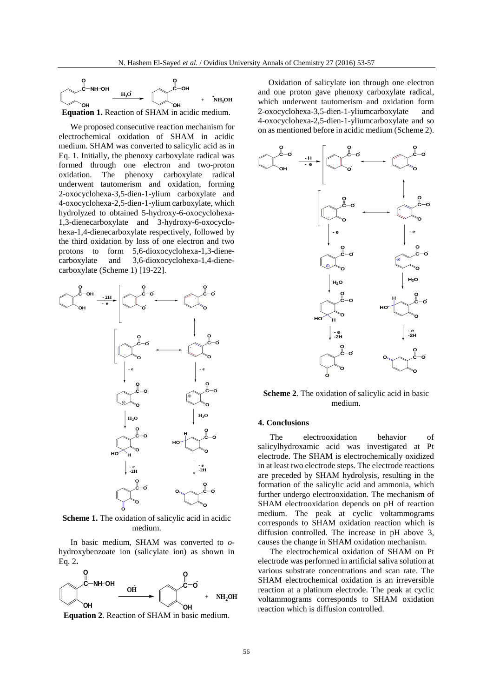

We proposed consecutive reaction mechanism for electrochemical oxidation of SHAM in acidic medium. SHAM was converted to salicylic acid as in Eq. 1. Initially, the phenoxy carboxylate radical was formed through one electron and two-proton oxidation. The phenoxy carboxylate radical underwent tautomerism and oxidation, forming 2-oxocyclohexa-3,5-dien-1-ylium carboxylate and 4-oxocyclohexa-2,5-dien-1-ylium carboxylate, which hydrolyzed to obtained 5-hydroxy-6-oxocyclohexa-1,3-dienecarboxylate and 3-hydroxy-6-oxocyclohexa-1,4-dienecarboxylate respectively, followed by the third oxidation by loss of one electron and two protons to form 5,6-dioxocyclohexa-1,3-dienecarboxylate and 3,6-dioxocyclohexa-1,4-dienecarboxylate (Scheme 1) [19-22].



**Scheme 1.** The oxidation of salicylic acid in acidic medium.

In basic medium, SHAM was converted to *o*hydroxybenzoate ion (salicylate ion) as shown in Eq. 2**.**



**Equation 2**. Reaction of SHAM in basic medium.

 Oxidation of salicylate ion through one electron and one proton gave phenoxy carboxylate radical, which underwent tautomerism and oxidation form 2-oxocyclohexa-3,5-dien-1-yliumcarboxylate and 4-oxocyclohexa-2,5-dien-1-yliumcarboxylate and so on as mentioned before in acidic medium (Scheme 2).



**Scheme 2**. The oxidation of salicylic acid in basic medium.

#### **4. Conclusions**

The electrooxidation behavior of salicylhydroxamic acid was investigated at Pt electrode. The SHAM is electrochemically oxidized in at least two electrode steps. The electrode reactions are preceded by SHAM hydrolysis, resulting in the formation of the salicylic acid and ammonia, which further undergo electrooxidation. The mechanism of SHAM electrooxidation depends on pH of reaction medium. The peak at cyclic voltammograms corresponds to SHAM oxidation reaction which is diffusion controlled. The increase in pH above 3, causes the change in SHAM oxidation mechanism.

The electrochemical oxidation of SHAM on Pt electrode was performed in artificial saliva solution at various substrate concentrations and scan rate. The SHAM electrochemical oxidation is an irreversible reaction at a platinum electrode. The peak at cyclic voltammograms corresponds to SHAM oxidation reaction which is diffusion controlled.